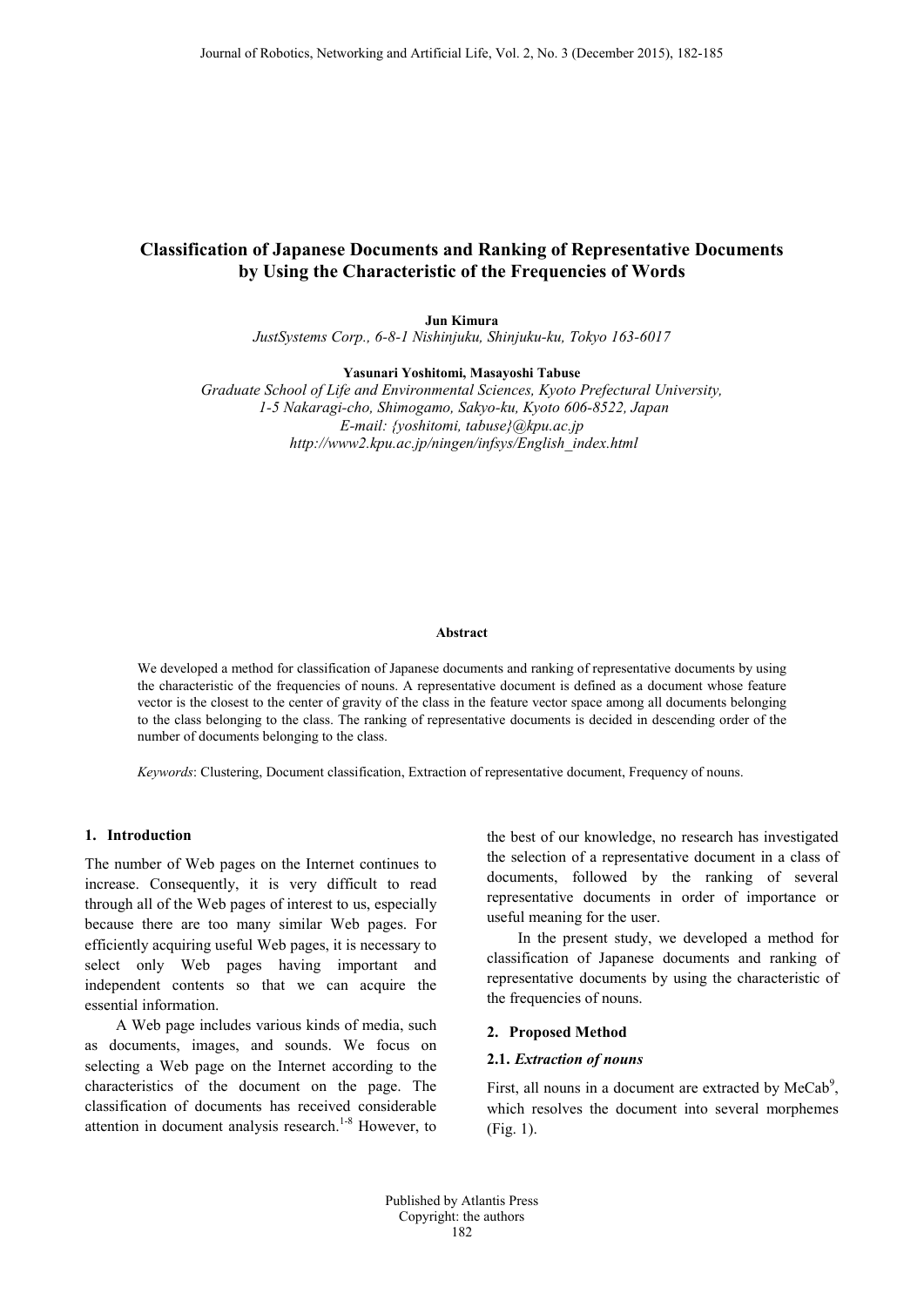# **Classification of Japanese Documents and Ranking of Representative Documents by Using the Characteristic of the Frequencies of Words**

**Jun Kimura** *JustSystems Corp., 6-8-1 Nishinjuku, Shinjuku-ku, Tokyo 163-6017*

**Yasunari Yoshitomi, Masayoshi Tabuse**

*Graduate School of Life and Environmental Sciences, Kyoto Prefectural University, 1-5 Nakaragi-cho, Shimogamo, Sakyo-ku, Kyoto 606-8522, Japan E-mail: {yoshitomi, tabuse}@kpu.ac.jp http://www2.kpu.ac.jp/ningen/infsys/English\_index.html*

#### **Abstract**

We developed a method for classification of Japanese documents and ranking of representative documents by using the characteristic of the frequencies of nouns. A representative document is defined as a document whose feature vector is the closest to the center of gravity of the class in the feature vector space among all documents belonging to the class belonging to the class. The ranking of representative documents is decided in descending order of the number of documents belonging to the class.

*Keywords*: Clustering, Document classification, Extraction of representative document, Frequency of nouns.

### **1. Introduction**

The number of Web pages on the Internet continues to increase. Consequently, it is very difficult to read through all of the Web pages of interest to us, especially because there are too many similar Web pages. For efficiently acquiring useful Web pages, it is necessary to select only Web pages having important and independent contents so that we can acquire the essential information.

A Web page includes various kinds of media, such as documents, images, and sounds. We focus on selecting a Web page on the Internet according to the characteristics of the document on the page. The classification of documents has received considerable attention in document analysis research.<sup>1-8</sup> However, to the best of our knowledge, no research has investigated the selection of a representative document in a class of documents, followed by the ranking of several representative documents in order of importance or useful meaning for the user.

In the present study, we developed a method for classification of Japanese documents and ranking of representative documents by using the characteristic of the frequencies of nouns.

#### **2. Proposed Method**

# **2.1.** *Extraction of nouns*

First, all nouns in a document are extracted by  $MeCab$ <sup>9</sup>, which resolves the document into several morphemes (Fig. 1).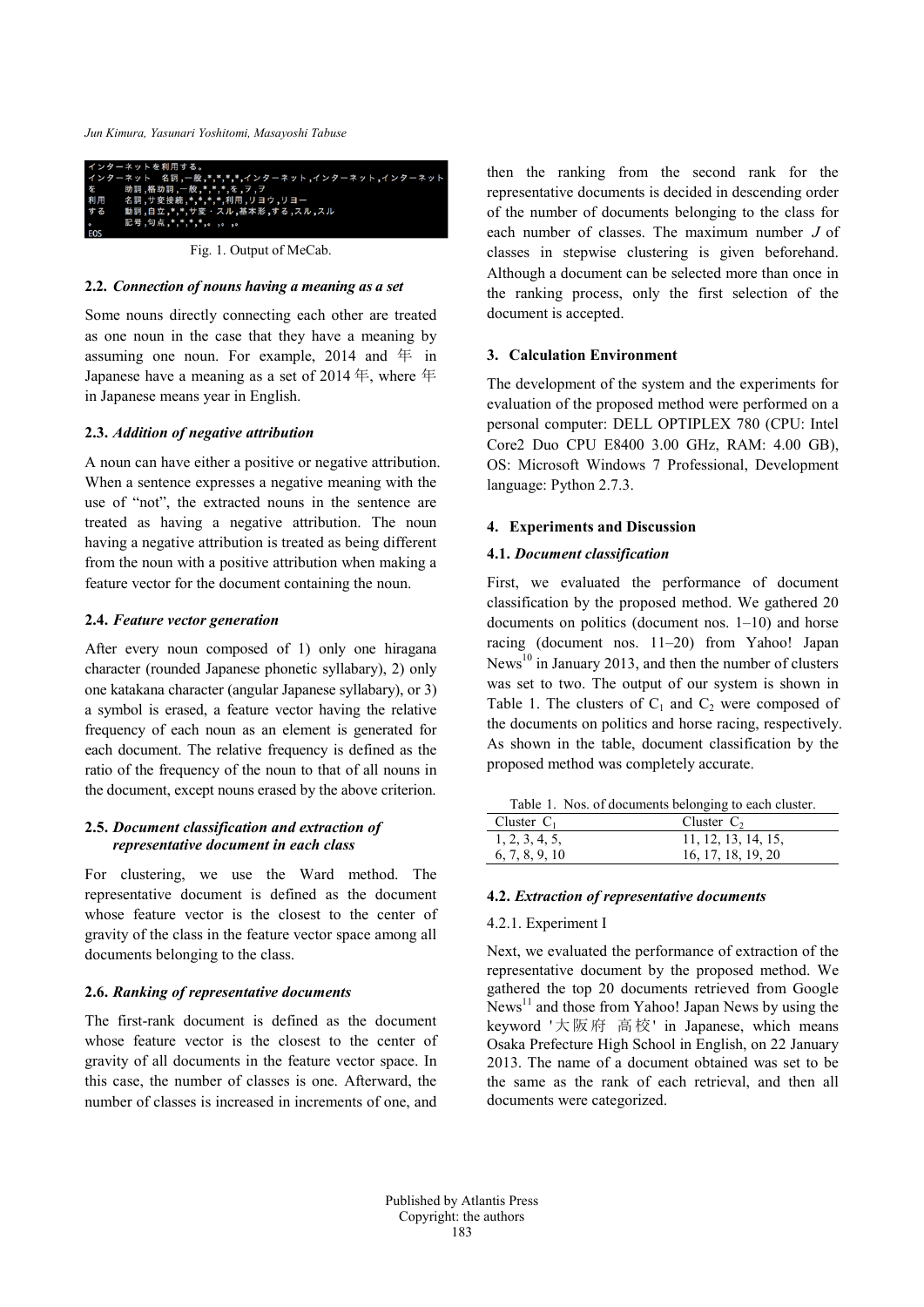*Jun Kimura, Yasunari Yoshitomi, Masayoshi Tabuse*



Fig. 1. Output of MeCab.

### **2.2.** *Connection of nouns having a meaning as a set*

Some nouns directly connecting each other are treated as one noun in the case that they have a meaning by assuming one noun. For example,  $2014$  and  $4\overline{4}$  in Japanese have a meaning as a set of 2014 年, where 年 in Japanese means year in English.

### **2.3.** *Addition of negative attribution*

A noun can have either a positive or negative attribution. When a sentence expresses a negative meaning with the use of "not", the extracted nouns in the sentence are treated as having a negative attribution. The noun having a negative attribution is treated as being different from the noun with a positive attribution when making a feature vector for the document containing the noun.

# **2.4.** *Feature vector generation*

After every noun composed of 1) only one hiragana character (rounded Japanese phonetic syllabary), 2) only one katakana character (angular Japanese syllabary), or 3) a symbol is erased, a feature vector having the relative frequency of each noun as an element is generated for each document. The relative frequency is defined as the ratio of the frequency of the noun to that of all nouns in the document, except nouns erased by the above criterion.

# **2.5.** *Document classification and extraction of representative document in each class*

For clustering, we use the Ward method. The representative document is defined as the document whose feature vector is the closest to the center of gravity of the class in the feature vector space among all documents belonging to the class.

### **2.6.** *Ranking of representative documents*

The first-rank document is defined as the document whose feature vector is the closest to the center of gravity of all documents in the feature vector space. In this case, the number of classes is one. Afterward, the number of classes is increased in increments of one, and then the ranking from the second rank for the representative documents is decided in descending order of the number of documents belonging to the class for each number of classes. The maximum number *J* of classes in stepwise clustering is given beforehand. Although a document can be selected more than once in the ranking process, only the first selection of the document is accepted.

# **3. Calculation Environment**

The development of the system and the experiments for evaluation of the proposed method were performed on a personal computer: DELL OPTIPLEX 780 (CPU: Intel Core2 Duo CPU E8400 3.00 GHz, RAM: 4.00 GB), OS: Microsoft Windows 7 Professional, Development language: Python 2.7.3.

### **4. Experiments and Discussion**

# **4.1.** *Document classification*

First, we evaluated the performance of document classification by the proposed method. We gathered 20 documents on politics (document nos. 1–10) and horse racing (document nos. 11–20) from Yahoo! Japan News $^{10}$  in January 2013, and then the number of clusters was set to two. The output of our system is shown in Table 1. The clusters of  $C_1$  and  $C_2$  were composed of the documents on politics and horse racing, respectively. As shown in the table, document classification by the proposed method was completely accurate.

Table 1. Nos. of documents belonging to each cluster.

| Cluster $C_1$  | Cluster $C_2$       |
|----------------|---------------------|
| 1, 2, 3, 4, 5, | 11, 12, 13, 14, 15, |
| 6, 7, 8, 9, 10 | 16, 17, 18, 19, 20  |

#### **4.2.** *Extraction of representative documents*

# 4.2.1. Experiment I

Next, we evaluated the performance of extraction of the representative document by the proposed method. We gathered the top 20 documents retrieved from Google  $N$ ews<sup>11</sup> and those from Yahoo! Japan News by using the keyword '大阪府 高校' in Japanese, which means Osaka Prefecture High School in English, on 22 January 2013. The name of a document obtained was set to be the same as the rank of each retrieval, and then all documents were categorized.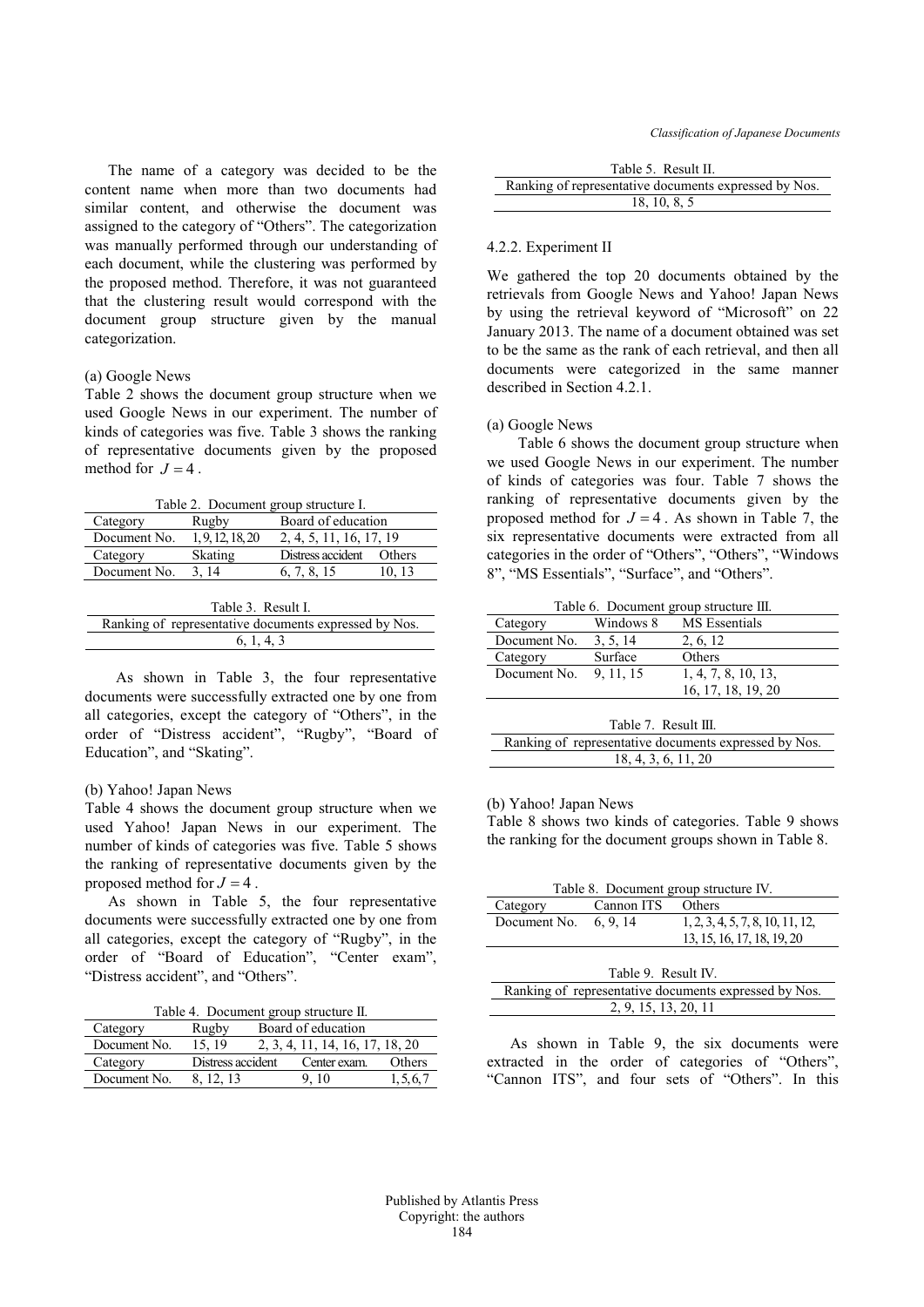The name of a category was decided to be the content name when more than two documents had similar content, and otherwise the document was assigned to the category of "Others". The categorization was manually performed through our understanding of each document, while the clustering was performed by the proposed method. Therefore, it was not guaranteed that the clustering result would correspond with the document group structure given by the manual categorization.

### (a) Google News

Table 2 shows the document group structure when we used Google News in our experiment. The number of kinds of categories was five. Table 3 shows the ranking of representative documents given by the proposed method for  $J = 4$ .

Table 2. Document group structure I.

| Category           | Rugby            | Board of education      |        |
|--------------------|------------------|-------------------------|--------|
| Document No.       | 1, 9, 12, 18, 20 | 2, 4, 5, 11, 16, 17, 19 |        |
| Category           | Skating          | Distress accident       | Others |
| Document No.       | 3.14             | 6, 7, 8, 15             | 10.13  |
|                    |                  |                         |        |
| $Table 3$ Recult I |                  |                         |        |

| Table 3. Result I.                                    |
|-------------------------------------------------------|
| Ranking of representative documents expressed by Nos. |
| 6.1.4.3                                               |
|                                                       |

As shown in Table 3, the four representative documents were successfully extracted one by one from all categories, except the category of "Others", in the order of "Distress accident", "Rugby", "Board of Education", and "Skating".

### (b) Yahoo! Japan News

Table 4 shows the document group structure when we used Yahoo! Japan News in our experiment. The number of kinds of categories was five. Table 5 shows the ranking of representative documents given by the proposed method for  $J = 4$ .

As shown in Table 5, the four representative documents were successfully extracted one by one from all categories, except the category of "Rugby", in the order of "Board of Education", "Center exam", "Distress accident", and "Others".

|  | Table 4. Document group structure II. |  |  |  |
|--|---------------------------------------|--|--|--|
|--|---------------------------------------|--|--|--|

| Category     | Rugby             | Board of education |                                 |         |
|--------------|-------------------|--------------------|---------------------------------|---------|
| Document No. | 15.19             |                    | 2, 3, 4, 11, 14, 16, 17, 18, 20 |         |
| Category     | Distress accident |                    | Center exam.                    | Others  |
| Document No. | 12.13             |                    | $-10$                           | 1.5.6.7 |

| Table 5. Result II. |
|---------------------|
|                     |

| Ranking of representative documents expressed by Nos. |
|-------------------------------------------------------|
| 18, 10, 8, 5                                          |

#### 4.2.2. Experiment II

We gathered the top 20 documents obtained by the retrievals from Google News and Yahoo! Japan News by using the retrieval keyword of "Microsoft" on 22 January 2013. The name of a document obtained was set to be the same as the rank of each retrieval, and then all documents were categorized in the same manner described in Section 4.2.1.

#### (a) Google News

Table 6 shows the document group structure when we used Google News in our experiment. The number of kinds of categories was four. Table 7 shows the ranking of representative documents given by the proposed method for  $J = 4$ . As shown in Table 7, the six representative documents were extracted from all categories in the order of "Others", "Others", "Windows 8", "MS Essentials", "Surface", and "Others".

Table 6. Document group structure III.

| $1.0018$ 0. Bovember group but available.             |           |                     |  |
|-------------------------------------------------------|-----------|---------------------|--|
| Category                                              | Windows 8 | MS Essentials       |  |
| Document No.                                          | 3, 5, 14  | 2, 6, 12            |  |
| Category                                              | Surface   | Others              |  |
| Document No.                                          | 9, 11, 15 | 1, 4, 7, 8, 10, 13, |  |
|                                                       |           | 16, 17, 18, 19, 20  |  |
|                                                       |           |                     |  |
| Table 7. Result III.                                  |           |                     |  |
| Ranking of representative documents expressed by Nos. |           |                     |  |
| 18, 4, 3, 6, 11, 20                                   |           |                     |  |

#### (b) Yahoo! Japan News

Table 8 shows two kinds of categories. Table 9 shows the ranking for the document groups shown in Table 8.

| Table 8. Document group structure IV. |                   |                                  |
|---------------------------------------|-------------------|----------------------------------|
| Category                              | Cannon ITS Others |                                  |
| Document No. $6, 9, 14$               |                   | 1, 2, 3, 4, 5, 7, 8, 10, 11, 12, |
|                                       |                   | 13, 15, 16, 17, 18, 19, 20       |
|                                       |                   |                                  |

As shown in Table 9, the six documents were extracted in the order of categories of "Others", "Cannon ITS", and four sets of "Others". In this